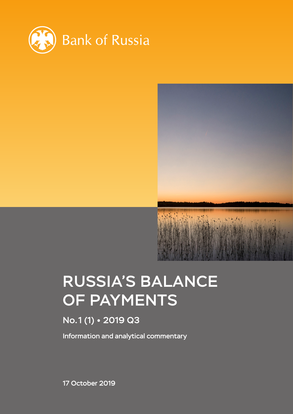



# RUSSIA'S BALANCE OF PAYMENTS

# No.1 (1) 2019 Q3

Information and analytical commentary

17 October 2019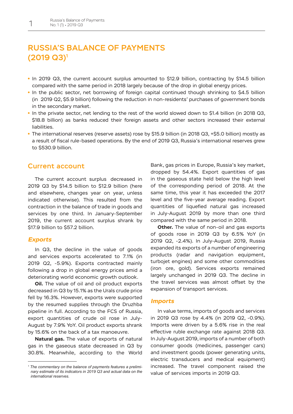# RUSSIA'S BALANCE OF PAYMENTS (2019 Q3)1

- In 2019 Q3, the current account surplus amounted to \$12.9 billion, contracting by \$14.5 billion compared with the same period in 2018 largely because of the drop in global energy prices.
- In the public sector, net borrowing of foreign capital continued though shrinking to \$4.5 billion (in 2019 Q2, \$5.9 billion) following the reduction in non-residents' purchases of government bonds in the secondary market.
- In the private sector, net lending to the rest of the world slowed down to \$1.4 billion (in 2018 Q3, \$18.8 billion) as banks reduced their foreign assets and other sectors increased their external liabilities.
- The international reserves (reserve assets) rose by \$15.9 billion (in 2018 Q3, +\$5.0 billion) mostly as a result of fiscal rule-based operations. By the end of 2019 Q3, Russia's international reserves grew to \$530.9 billion.

## Current account

The current account surplus decreased in 2019 Q3 by \$14.5 billion to \$12.9 billion (here and elsewhere, changes year on year, unless indicated otherwise). This resulted from the contraction in the balance of trade in goods and services by one third. In January-September 2019, the current account surplus shrank by \$17.9 billion to \$57.2 billion.

### *Exports*

In Q3, the decline in the value of goods and services exports accelerated to 7.1% (in 2019 Q2, -5.9%). Exports contracted mainly following a drop in global energy prices amid a deteriorating world economic growth outlook.

**Oil.** The value of oil and oil product exports decreased in Q3 by 15.1% as the Urals crude price fell by 16.3%. However, exports were supported by the resumed supplies through the Druzhba pipeline in full. According to the FCS of Russia, export quantities of crude oil rose in July-August by 7.9% YoY. Oil product exports shrank by 15.6% on the back of a tax manoeuvre.

**Natural gas.** The value of exports of natural gas in the gaseous state decreased in Q3 by 30.8%. Meanwhile, according to the World

Bank, gas prices in Europe, Russia's key market, dropped by 54.4%. Export quantities of gas in the gaseous state held below the high level of the corresponding period of 2018. At the same time, this year it has exceeded the 2017 level and the five-year average reading. Export quantities of liquefied natural gas increased in July-August 2019 by more than one third compared with the same period in 2018.

**Other.** The value of non-oil and gas exports of goods rose in 2019 Q3 by 6.5% YoY (in 2019 Q2, -2.4%). In July-August 2019, Russia expanded its exports of a number of engineering products (radar and navigation equipment, turbojet engines) and some other commodities (iron ore, gold). Services exports remained largely unchanged in 2019 Q3. The decline in the travel services was almost offset by the expansion of transport services.

#### *Imports*

In value terms, imports of goods and services in 2019 Q3 rose by 4.4% (in 2019 Q2, -0.9%). Imports were driven by a 5.6% rise in the real effective ruble exchange rate against 2018 Q3. In July-August 2019, imports of a number of both consumer goods (medicines, passenger cars) and investment goods (power generating units, electric transducers and medical equipment) increased. The travel component raised the value of services imports in 2019 Q3.

*<sup>1</sup> The commentary on the balance of payments features a preliminary estimate of its indicators in 2019 Q3 and actual data on the international reserves.*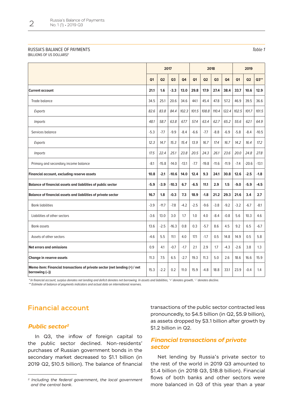## RUSSIA'S BALANCE OF PAYMENTS

(BILLIONS OF US DOLLARS)\*

|                                                                                              | 2017           |                |                |                | 2018           |                |                |                | 2019           |         |         |
|----------------------------------------------------------------------------------------------|----------------|----------------|----------------|----------------|----------------|----------------|----------------|----------------|----------------|---------|---------|
|                                                                                              | Q <sub>1</sub> | Q <sub>2</sub> | Q <sub>3</sub> | Q <sub>4</sub> | Q <sub>1</sub> | Q <sub>2</sub> | Q <sub>3</sub> | Q <sub>4</sub> | Q <sub>1</sub> | Q2      | $Q3**$  |
| <b>Current account</b>                                                                       | 21.1           | 1.6            | $-3.3$         | 13.0           | 29.8           | 17.9           | 27.4           | 38.4           | 33.7           | 10.6    | 12.9    |
| Trade balance                                                                                | 34.5           | 25.1           | 20.6           | 34.6           | 44.1           | 45.4           | 47.8           | 57.2           | 46.9           | 39.5    | 36.6    |
| Exports                                                                                      | 82.6           | 83.8           | 84.4           | 102.3          | 101.5          | 108.8          | 110.4          | 122.4          | 102.5          | 101.7   | 101.5   |
| <i>Imports</i>                                                                               | 48.1           | 58.7           | 63.8           | 67.7           | 57.4           | 63.4           | 62.7           | 65.2           | 55.6           | 62.1    | 64.9    |
| Services balance                                                                             | $-5.3$         | $-7.7$         | $-9.9$         | $-8.4$         | $-6.6$         | $-7.7$         | $-8.8$         | $-6.9$         | $-5.8$         | $-8.4$  | $-10.5$ |
| Exports                                                                                      | 12.3           | 14.7           | 15.3           | 15.4           | 13.9           | 16.7           | 17.4           | 16.7           | 14.2           | 16.4    | 17.2    |
| <i>Imports</i>                                                                               | 17.5           | 22.4           | 25.1           | 23.8           | 20.5           | 24.3           | 26.1           | 23.6           | 20.0           | 24.8    | 27.8    |
| Primary and secondary income balance                                                         | $-8.1$         | $-15.8$        | $-14.0$        | $-13.1$        | $-7.7$         | $-19.8$        | $-11.6$        | $-11.9$        | $-7.4$         | $-20.6$ | $-13.1$ |
| Financial account, excluding reserve assets                                                  | 10.8           | $-2.1$         | $-10.6$        | 14.0           | 12.4           | 9.3            | 24.1           | 30.8           | 12.6           | $-2.5$  | $-1.8$  |
| Balance of financial assets and liabilities of public sector                                 | $-5.9$         | $-3.9$         | $-10.3$        | 6.7            | $-6.5$         | 11.1           | 2.9            | 1.5            | $-9.0$         | $-5.9$  | $-4.5$  |
| Balance of financial assets and liabilities of private sector                                | 16.7           | 1.8            | $-0.3$         | 7.3            | 18.9           | $-1.8$         | 21.2           | 29.3           | 21.6           | 3.4     | 2.7     |
| <b>Bank liabilities</b>                                                                      | $-3.9$         | $-11.7$        | $-7.8$         | $-4.2$         | $-2.5$         | $-9.6$         | $-3.8$         | $-9.2$         | $-3.2$         | $-6.7$  | -8.1    |
| Liabilities of other sectors                                                                 | $-3.6$         | 13.0           | 3.0            | 1.7            | 1.0            | 4.0            | $-8.4$         | $-0.8$         | 5.6            | 10.3    | 4.6     |
| <b>Bank assets</b>                                                                           | 13.6           | $-2.5$         | $-16.3$        | 0.8            | 0.3            | $-5.7$         | 8.6            | 4.5            | 9.2            | 6.5     | $-6.7$  |
| Assets of other sectors                                                                      | $-4.6$         | 5.5            | 11.1           | 4.0            | 17.1           | $-1.7$         | 0.5            | 14.8           | 14.9           | 0.5     | 5.8     |
| <b>Net errors and omissions</b>                                                              | 0.9            | 4.1            | $-0.7$         | $-1.7$         | 2.1            | 2.9            | 1.7            | $-4.3$         | $-2.6$         | 3.8     | 1.3     |
| Change in reserve assets                                                                     | 11.3           | 7.5            | 6.5            | $-2.7$         | 19.3           | 11.3           | 5.0            | 2.6            | 18.6           | 16.6    | 15.9    |
| Memo item: Financial transactions of private sector (net lending (+) / net<br>borrowing (-)) | 15.3           | $-2.2$         | 0.2            | 11.0           | 15.9           | $-4.8$         | 18.8           | 33.1           | 23.9           | $-0.4$  | 1.4     |

\* In financial account, surplus denotes net lending and deficit denotes net borrowing. In assets and liabilities, '+' denotes growth, '-' denotes decline.

\*\* Estimate of balance of payments indicators and actual data on international reserves.

# Financial account

## *Public sector2*

In Q3, the inflow of foreign capital to the public sector declined. Non-residents' purchases of Russian government bonds in the secondary market decreased to \$1.1 billion (in 2019 Q2, \$10.5 billion). The balance of financial transactions of the public sector contracted less pronouncedly, to \$4.5 billion (in Q2, \$5.9 billion), as assets dropped by \$3.1 billion after growth by \$1.2 billion in Q2.

# *Financial transactions of private sector*

Net lending by Russia's private sector to the rest of the world in 2019 Q3 amounted to \$1.4 billion (in 2018 Q3, \$18.8 billion). Financial flows of both banks and other sectors were more balanced in Q3 of this year than a year

Table 1

*<sup>2</sup> Including the federal government, the local government and the central bank.*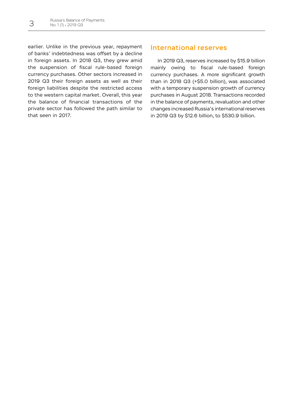earlier. Unlike in the previous year, repayment of banks' indebtedness was offset by a decline in foreign assets. In 2018 Q3, they grew amid the suspension of fiscal rule-based foreign currency purchases. Other sectors increased in 2019 Q3 their foreign assets as well as their foreign liabilities despite the restricted access to the western capital market. Overall, this year the balance of financial transactions of the private sector has followed the path similar to that seen in 2017.

# International reserves

In 2019 Q3, reserves increased by \$15.9 billion mainly owing to fiscal rule-based foreign currency purchases. A more significant growth than in 2018 Q3 (+\$5.0 billion), was associated with a temporary suspension growth of currency purchases in August 2018. Transactions recorded in the balance of payments, revaluation and other changes increased Russia's international reserves in 2019 Q3 by \$12.6 billion, to \$530.9 billion.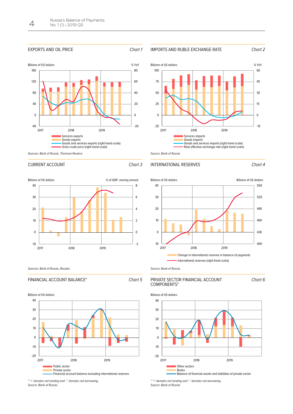#### EXPORTS AND OIL PRICE Chart 1











Source: Bank of Russia.

#### INTERNATIONAL RESERVES Chart 4



CURRENT ACCOUNT CHart 3

Sources: Bank of Russia, Rosstat.

#### FINANCIAL ACCOUNT BALANCE\* Chart 5



-20 -10  $\Omega$ 10 20 30 40 2017 2018 2019 **Public sector** Private sector Financial account balance excluding international reserves Billions of US dollars

\* '+' denotes net lending and '-' denotes net borrowing. Source: Bank of Russia.





Source: Bank of Russia.

#### PRIVATE SECTOR FINANCIAL ACCOUNT COMPONENTS\*

Chart 6



\* '+' denotes net lending and '-' denotes net borrowing. Source: Bank of Russia.